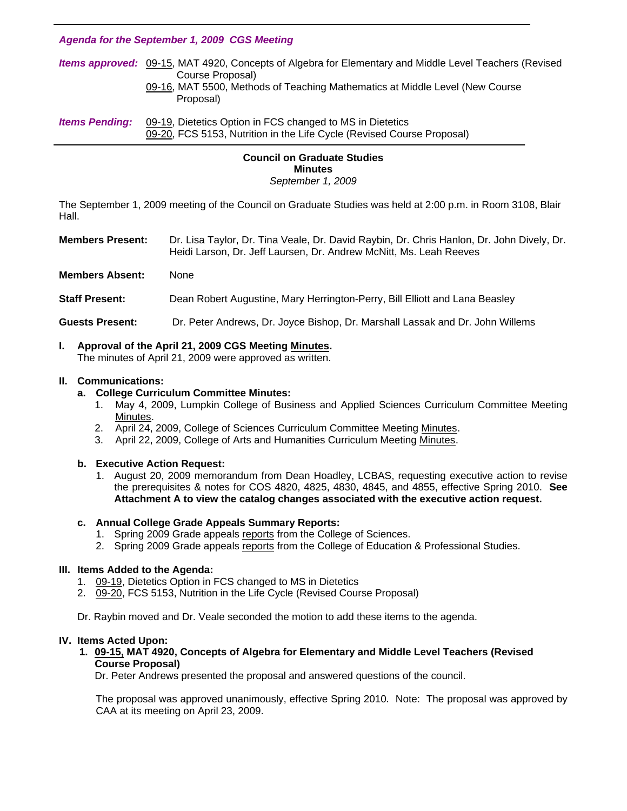### *Agenda for the September 1, 2009 CGS Meeting*

| <i>Items approved:</i> 09-15, MAT 4920, Concepts of Algebra for Elementary and Middle Level Teachers (Revised |
|---------------------------------------------------------------------------------------------------------------|
| Course Proposal)                                                                                              |
| 09-16, MAT 5500, Methods of Teaching Mathematics at Middle Level (New Course                                  |

Proposal)

**Items Pending:** [09-19, D](http://www.eiu.edu/~eiucgs/currentagendaitems/agenda09-19.pdf)ietetics Option in FCS changed to MS in Dietetics [09-20, FC](http://www.eiu.edu/~eiucgs/currentagendaitems/agenda09-20.pdf)S 5153, Nutrition in the Life Cycle (Revised Course Proposal) j

### **Council on Graduate Studies Minutes**

*September 1, 2009* 

The September 1, 2009 meeting of the Council on Graduate Studies was held at 2:00 p.m. in Room 3108, Blair Hall.

| <b>Members Present:</b> | Dr. Lisa Taylor, Dr. Tina Veale, Dr. David Raybin, Dr. Chris Hanlon, Dr. John Dively, Dr. |
|-------------------------|-------------------------------------------------------------------------------------------|
|                         | Heidi Larson, Dr. Jeff Laursen, Dr. Andrew McNitt, Ms. Leah Reeves                        |

**Members Absent:** None

**Staff Present:** Dean Robert Augustine, Mary Herrington-Perry, Bill Elliott and Lana Beasley

**Guests Present:** Dr. Peter Andrews, Dr. Joyce Bishop, Dr. Marshall Lassak and Dr. John Willems

# **I. Approval of the April 21, 2009 CGS Meetin[g Minutes.](http://www.eiu.edu/~eiucgs/currentminutes/Minutes4-21-09.pdf)**

The minutes of April 21, 2009 were approved as written.

### **II. Communications:**

### **a. College Curriculum Committee Minutes:**

- 1. May 4, 2009, Lumpkin College of Business and Applied Sciences Curriculum Committee Meeting [Minutes.](http://www.eiu.edu/~lumpkin/Curriculum/lcbascurrmin050409.pdf)
- 2. April 24, 2009, College of Sciences Curriculum Committee Meetin[g Minutes.](http://www.eiu.edu/~coscurr/arch/arch09/min%204-24-09.htm)
- 3. April 22, 2009, College of Arts and Humanities Curriculum Meeti[ng Minutes.](http://www.eiu.edu/~eiucaa/2008-09CAA/SP09/04-30-09/Communications/CurricComm/CAHmin04-22-09.pdf)

### **b. Executive Action Request:**

1. August 20, 2009 memorandum from Dean Hoadley, LCBAS, requesting executive action to revise the prerequisites & notes for COS 4820, 4825, 4830, 4845, and 4855, effective Spring 2010. **See Attachment A to view the catalog changes associated with the executive action request.**

### **c. Annual College Grade Appeals Summary Reports:**

- 1. Spring 2009 Grade appe[als reports from](http://www.eiu.edu/~eiucgs/currentagendaitems/COSGradeAppealsSP09.pdf) the College of Sciences.
- 2. Spring 2009 Grade appe[als reports fro](http://www.eiu.edu/~eiucgs/currentagendaitems/CEPSGradeAppealsSP09.pdf)m the College of Education & Professional Studies.

### **III. Items Added to the Agenda:**

- 1. [09-19,](http://www.eiu.edu/~eiucgs/currentagendaitems/agenda09-19.pdf) Dietetics Option in FCS changed to MS in Dietetics
- 2. [09-20, FC](http://www.eiu.edu/~eiucgs/currentagendaitems/agenda09-20.pdf)S 5153, Nutrition in the Life Cycle (Revised Course Proposal)

Dr. Raybin moved and Dr. Veale seconded the motion to add these items to the agenda.

### **IV. Items Acted Upon:**

**1[. 09-15, MA](http://www.eiu.edu/~eiucgs/currentagendaitems/agenda09-15.pdf)T 4920, Concepts of Algebra for Elementary and Middle Level Teachers (Revised Course Proposal)** 

Dr. Peter Andrews presented the proposal and answered questions of the council.

The proposal was approved unanimously, effective Spring 2010*.* Note: The proposal was approved by CAA at its meeting on April 23, 2009.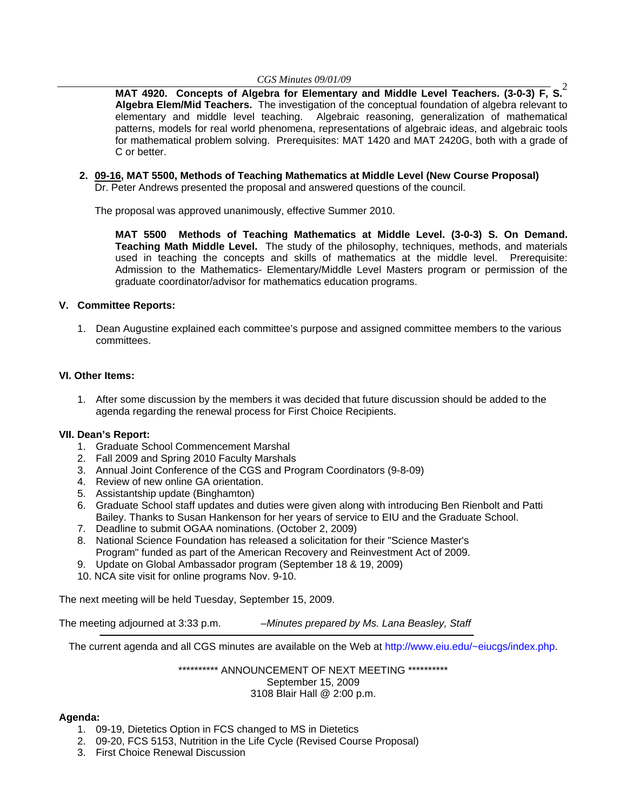*CGS Minutes 09/01/09* **2006 MAT 4920. Concepts of Algebra for Elementary and Middle Level Teachers. (3-0-3) F, S.<sup>2</sup> Algebra Elem/Mid Teachers.** The investigation of the conceptual foundation of algebra relevant to elementary and middle level teaching. Algebraic reasoning, generalization of mathematical patterns, models for real world phenomena, representations of algebraic ideas, and algebraic tools for mathematical problem solving. Prerequisites: MAT 1420 and MAT 2420G, both with a grade of C or better.

### **2. [09-16,](http://www.eiu.edu/~eiucgs/currentagendaitems/agenda09-16.pdf) MAT 5500, Methods of Teaching Mathematics at Middle Level (New Course Proposal)**  Dr. Peter Andrews presented the proposal and answered questions of the council.

The proposal was approved unanimously, effective Summer 2010.

**MAT 5500 Methods of Teaching Mathematics at Middle Level. (3-0-3) S. On Demand. Teaching Math Middle Level.** The study of the philosophy, techniques, methods, and materials used in teaching the concepts and skills of mathematics at the middle level. Prerequisite: Admission to the Mathematics- Elementary/Middle Level Masters program or permission of the graduate coordinator/advisor for mathematics education programs.

### **V. Committee Reports:**

1. Dean Augustine explained each committee's purpose and assigned committee members to the various committees.

### **VI. Other Items:**

1. After some discussion by the members it was decided that future discussion should be added to the agenda regarding the renewal process for First Choice Recipients.

### **VII. Dean's Report:**

- 1. Graduate School Commencement Marshal
- 2. Fall 2009 and Spring 2010 Faculty Marshals
- 3. Annual Joint Conference of the CGS and Program Coordinators (9-8-09)
- 4. Review of new online GA orientation.
- 5. Assistantship update (Binghamton)
- 6. Graduate School staff updates and duties were given along with introducing Ben Rienbolt and Patti Bailey. Thanks to Susan Hankenson for her years of service to EIU and the Graduate School.
- 7. Deadline to submit OGAA nominations. (October 2, 2009)
- 8. National Science Foundation has released a solicitation for their "Science Master's Program" funded as part of the American Recovery and Reinvestment Act of 2009.
- 9. Update on Global Ambassador program (September 18 & 19, 2009)
- 10. NCA site visit for online programs Nov. 9-10.

The next meeting will be held Tuesday, September 15, 2009.

The meeting adjourned at 3:33 p.m. *–Minutes prepared by Ms. Lana Beasley, Staff* 

The current agenda and all CGS minutes are available on the Web at http://www.eiu.edu/~eiucgs/index.php.

\*\*\*\*\*\*\*\*\*\* ANNOUNCEMENT OF NEXT MEETING \*\*\*\*\*\*\*\*\*\* September 15, 2009 3108 Blair Hall @ 2:00 p.m.

### **Agenda:**

- 1. 09-19, Dietetics Option in FCS changed to MS in Dietetics
- 2. 09-20, FCS 5153, Nutrition in the Life Cycle (Revised Course Proposal)
- 3. First Choice Renewal Discussion